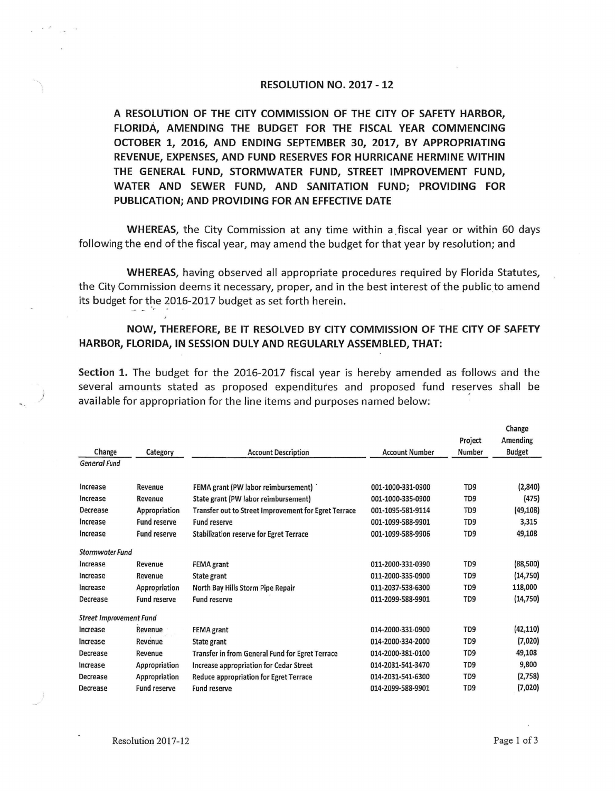## **RESOLUTION NO. 2017 - 12**

**A RESOLUTION OF THE CITY COMMISSION OF THE CITY OF SAFETY HARBOR, FLORIDA, AMENDING THE BUDGET FOR THE FISCAL YEAR COMMENCING OCTOBER 1, 2016, AND ENDING SEPTEMBER 30, 2017, BY APPROPRIATING REVENUE, EXPENSES, AND FUND RESERVES FOR HURRICANE HERMINE WITHIN THE GENERAL FUND, STORMWATER FUND, STREET IMPROVEMENT FUND, WATER AND SEWER FUND, AND SANITATION FUND; PROVIDING FOR PUBUCATION; AND PROVIDING FOR AN EFFECTIVE DATE** 

**WHEREAS,** the City Commission at any time within a \_fiscal year or within 60 days following the end of the fiscal year, may amend the budget for that year by resolution; and

**WHEREAS,** having observed all appropriate procedures required by Florida Statutes, the City Commission deems it necessary, proper, and in the best interest of the public to amend its budget for the 2016-2017 budget as set forth herein.

## **NOW, THEREFORE, BE IT RESOLVED BY CITY COMMISSION OF THE CITY OF SAFETY HARBOR, FLORIDA, IN SESSION DULY AND REGULARLY ASSEMBLED, THAT:**

**Section 1.** The budget for the 2016-2017 fiscal year is hereby amended as follows and the several amounts stated as proposed expenditures and proposed fund reserves shall be ) available for appropriation for the line items and purposes named below:

|                                |                     |                                                      |                       |                 | Change        |
|--------------------------------|---------------------|------------------------------------------------------|-----------------------|-----------------|---------------|
|                                |                     |                                                      |                       | Project         | Amending      |
| Change                         | Category            | <b>Account Description</b>                           | <b>Account Number</b> | Number          | <b>Budget</b> |
| <b>General Fund</b>            |                     |                                                      |                       |                 |               |
|                                |                     |                                                      |                       |                 |               |
| Increase                       | Revenue             | FEMA grant (PW labor reimbursement)                  | 001-1000-331-0900     | TD9             | (2,840)       |
| Increase                       | Revenue             | State grant (PW labor reimbursement)                 | 001-1000-335-0900     | TD <sub>9</sub> | (475)         |
| Decrease                       | Appropriation       | Transfer out to Street Improvement for Egret Terrace | 001-1095-581-9114     | TD <sub>9</sub> | (49, 108)     |
| Increase                       | <b>Fund reserve</b> | <b>Fund reserve</b>                                  | 001-1099-588-9901     | TD <sub>9</sub> | 3,315         |
| Increase                       | <b>Fund reserve</b> | <b>Stabilization reserve for Egret Terrace</b>       | 001-1099-588-9906     | TD <sub>9</sub> | 49,108        |
| <b>Stormwater Fund</b>         |                     |                                                      |                       |                 |               |
| Increase                       | Revenue             | <b>FEMA</b> grant                                    | 011-2000-331-0390     | TD <sub>9</sub> | (88, 500)     |
| Increase                       | Revenue             | <b>State grant</b>                                   | 011-2000-335-0900     | TD <sub>9</sub> | (14, 750)     |
| Increase                       | Appropriation       | North Bay Hills Storm Pipe Repair                    | 011-2037-538-6300     | TD <sub>9</sub> | 118,000       |
| Decrease                       | <b>Fund reserve</b> | <b>Fund reserve</b>                                  | 011-2099-588-9901     | TD <sub>9</sub> | (14, 750)     |
| <b>Street Improvement Fund</b> |                     |                                                      |                       |                 |               |
| Increase                       | Revenue             | FEMA grant                                           | 014-2000-331-0900     | TD <sub>9</sub> | (42, 110)     |
| Increase                       | Revenue             | State grant                                          | 014-2000-334-2000     | TD <sub>9</sub> | (7,020)       |
| Decrease                       | Revenue             | Transfer in from General Fund for Egret Terrace      | 014-2000-381-0100     | TD <sub>9</sub> | 49,108        |
| Increase                       | Appropriation       | Increase appropriation for Cedar Street              | 014-2031-541-3470     | TD <sub>9</sub> | 9,800         |
| Decrease                       | Appropriation       | <b>Reduce appropriation for Egret Terrace</b>        | 014-2031-541-6300     | TD <sub>9</sub> | (2,758)       |
| Decrease                       | <b>Fund reserve</b> | Fund reserve                                         | 014-2099-588-9901     | TD <sub>9</sub> | (7,020)       |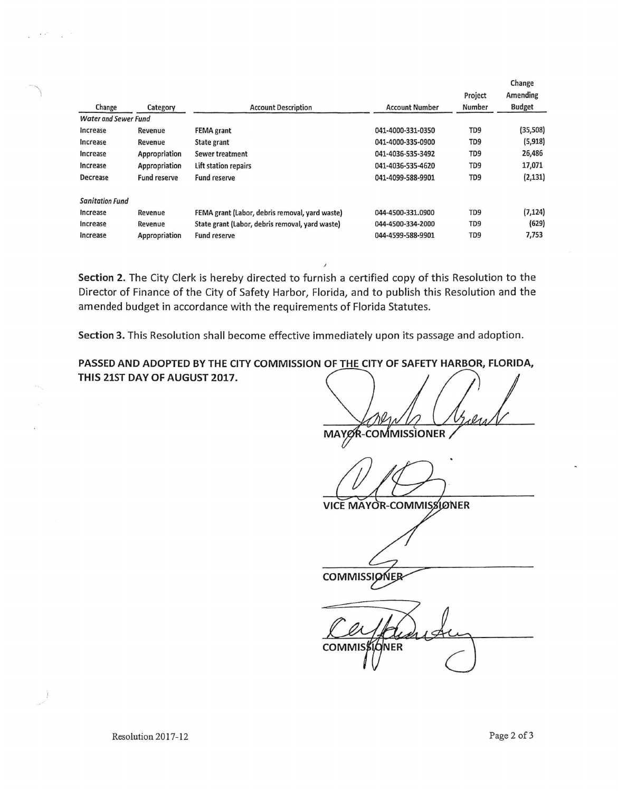|                             |                     |                                                 |                       |                 | Change        |
|-----------------------------|---------------------|-------------------------------------------------|-----------------------|-----------------|---------------|
|                             |                     |                                                 |                       | Project         | Amending      |
| Change                      | Category            | <b>Account Description</b>                      | <b>Account Number</b> | Number          | <b>Budget</b> |
| <b>Water and Sewer Fund</b> |                     |                                                 |                       |                 |               |
| Increase                    | Revenue             | <b>FEMA</b> grant                               | 041-4000-331-0350     | TD <sub>9</sub> | (35, 508)     |
| Increase                    | Revenue             | State grant                                     | 041-4000-335-0900     | TD <sub>9</sub> | (5,918)       |
| Increase                    | Appropriation       | Sewer treatment                                 | 041-4036-535-3492     | TD <sub>9</sub> | 26,486        |
| Increase                    | Appropriation       | Lift station repairs                            | 041-4036-535-4620     | TD <sub>9</sub> | 17,071        |
| Decrease                    | <b>Fund reserve</b> | Fund reserve                                    | 041-4099-588-9901     | TD <sub>9</sub> | (2, 131)      |
| <b>Sanitation Fund</b>      |                     |                                                 |                       |                 |               |
| Increase                    | Revenue             | FEMA grant (Labor, debris removal, yard waste)  | 044-4500-331.0900     | TD9             | (7, 124)      |
| Increase                    | Revenue             | State grant (Labor, debris removal, yard waste) | 044-4500-334-2000     | TD <sub>9</sub> | (629)         |
| Increase                    | Appropriation       | Fund reserve                                    | 044-4599-588-9901     | TD9             | 7,753         |

**Section 2.** The City Clerk is hereby directed to furnish a certified copy of this Resolution to the Director of Finance of the City of Safety Harbor, Florida, and to publish this Resolution and the amended budget in accordance with the requirements of Florida Statutes.

**Section 3.** This Resolution shall become effective immediately upon its passage and adoption.

**PASSED AND ADOPTED BY THE CITY COMMISSION OF THE CITY OF SAFETY HARBOR, FLORIDA, THIS 21ST DAY OF AUGUST 2017.** 

MAYOR-COMMISSIONER

**VICE MAYOR-COMMISSIONER** 

**COMMISSIGNER** 

ÓNER **COMMIS** 

" \